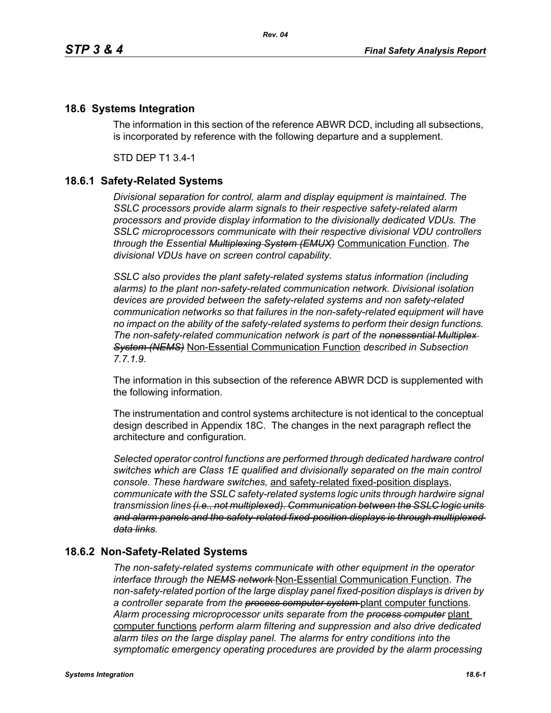## **18.6 Systems Integration**

The information in this section of the reference ABWR DCD, including all subsections, is incorporated by reference with the following departure and a supplement.

STD DEP T1 3.4-1

## **18.6.1 Safety-Related Systems**

*Divisional separation for control, alarm and display equipment is maintained. The SSLC processors provide alarm signals to their respective safety-related alarm processors and provide display information to the divisionally dedicated VDUs. The SSLC microprocessors communicate with their respective divisional VDU controllers through the Essential Multiplexing System (EMUX)* Communication Function. *The divisional VDUs have on screen control capability.*

*SSLC also provides the plant safety-related systems status information (including alarms) to the plant non-safety-related communication network. Divisional isolation devices are provided between the safety-related systems and non safety-related communication networks so that failures in the non-safety-related equipment will have no impact on the ability of the safety-related systems to perform their design functions. The non-safety-related communication network is part of the nonessential Multiplex System (NEMS)* Non-Essential Communication Function *described in Subsection 7.7.1.9.*

The information in this subsection of the reference ABWR DCD is supplemented with the following information.

The instrumentation and control systems architecture is not identical to the conceptual design described in Appendix 18C. The changes in the next paragraph reflect the architecture and configuration.

*Selected operator control functions are performed through dedicated hardware control switches which are Class 1E qualified and divisionally separated on the main control console. These hardware switches,* and safety-related fixed-position displays, *communicate with the SSLC safety-related systems logic units through hardwire signal transmission lines (i.e., not multiplexed). Communication between the SSLC logic units and alarm panels and the safety-related fixed-position displays is through multiplexed data links.*

## **18.6.2 Non-Safety-Related Systems**

*The non-safety-related systems communicate with other equipment in the operator interface through the NEMS network* Non-Essential Communication Function. *The non-safety-related portion of the large display panel fixed-position displays is driven by a controller separate from the process computer system* plant computer functions. *Alarm processing microprocessor units separate from the process computer* plant computer functions *perform alarm filtering and suppression and also drive dedicated alarm tiles on the large display panel. The alarms for entry conditions into the symptomatic emergency operating procedures are provided by the alarm processing*